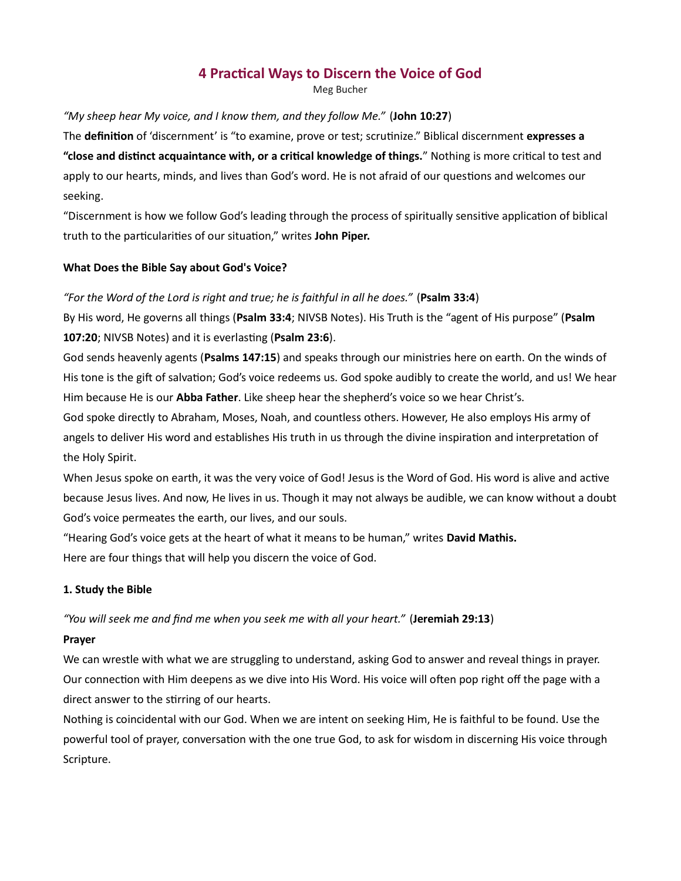# 4 Practical Ways to Discern the Voice of God

Meg Bucher

# "My sheep hear My voice, and I know them, and they follow Me." (John 10:27)

The definition of 'discernment' is "to examine, prove or test; scrutinize." Biblical discernment expresses a "close and distinct acquaintance with, or a critical knowledge of things." Nothing is more critical to test and apply to our hearts, minds, and lives than God's word. He is not afraid of our questions and welcomes our seeking.

"Discernment is how we follow God's leading through the process of spiritually sensitive application of biblical truth to the particularities of our situation," writes John Piper.

# What Does the Bible Say about God's Voice?

# "For the Word of the Lord is right and true; he is faithful in all he does." (Psalm 33:4)

By His word, He governs all things (Psalm 33:4; NIVSB Notes). His Truth is the "agent of His purpose" (Psalm 107:20; NIVSB Notes) and it is everlasting (Psalm 23:6).

God sends heavenly agents (Psalms 147:15) and speaks through our ministries here on earth. On the winds of His tone is the gift of salvation; God's voice redeems us. God spoke audibly to create the world, and us! We hear Him because He is our Abba Father. Like sheep hear the shepherd's voice so we hear Christ's.

God spoke directly to Abraham, Moses, Noah, and countless others. However, He also employs His army of angels to deliver His word and establishes His truth in us through the divine inspiration and interpretation of the Holy Spirit.

When Jesus spoke on earth, it was the very voice of God! Jesus is the Word of God. His word is alive and active because Jesus lives. And now, He lives in us. Though it may not always be audible, we can know without a doubt God's voice permeates the earth, our lives, and our souls.

"Hearing God's voice gets at the heart of what it means to be human," writes David Mathis. Here are four things that will help you discern the voice of God.

# 1. Study the Bible

"You will seek me and find me when you seek me with all your heart." (Jeremiah 29:13)

# Prayer

We can wrestle with what we are struggling to understand, asking God to answer and reveal things in prayer. Our connection with Him deepens as we dive into His Word. His voice will often pop right off the page with a direct answer to the stirring of our hearts.

Nothing is coincidental with our God. When we are intent on seeking Him, He is faithful to be found. Use the powerful tool of prayer, conversation with the one true God, to ask for wisdom in discerning His voice through Scripture.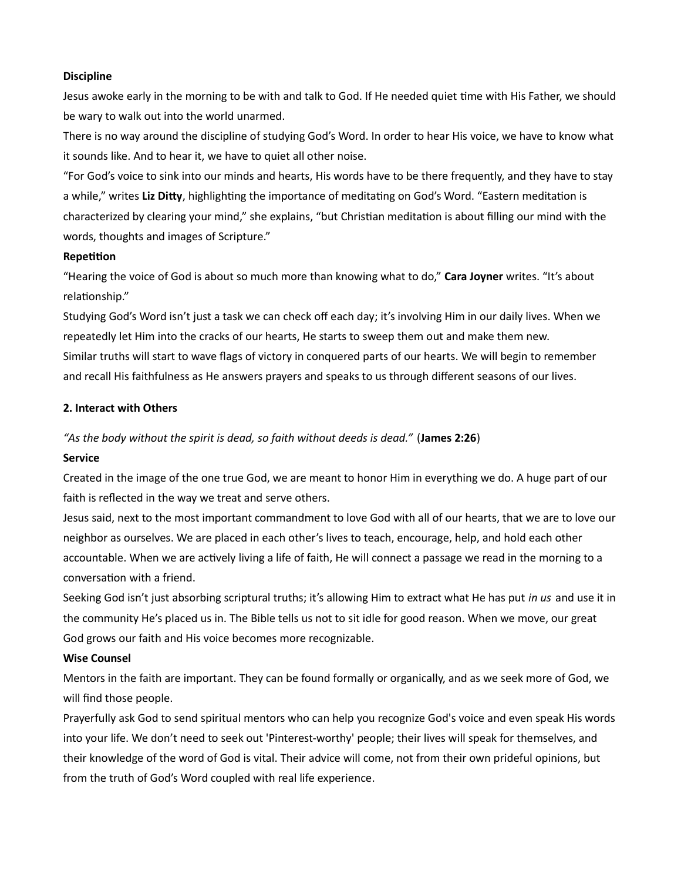## Discipline

Jesus awoke early in the morning to be with and talk to God. If He needed quiet time with His Father, we should be wary to walk out into the world unarmed.

There is no way around the discipline of studying God's Word. In order to hear His voice, we have to know what it sounds like. And to hear it, we have to quiet all other noise.

"For God's voice to sink into our minds and hearts, His words have to be there frequently, and they have to stay a while," writes Liz Ditty, highlighting the importance of meditating on God's Word. "Eastern meditation is characterized by clearing your mind," she explains, "but Christian meditation is about filling our mind with the words, thoughts and images of Scripture."

## **Repetition**

"Hearing the voice of God is about so much more than knowing what to do," Cara Joyner writes. "It's about relationship."

Studying God's Word isn't just a task we can check off each day; it's involving Him in our daily lives. When we repeatedly let Him into the cracks of our hearts, He starts to sweep them out and make them new. Similar truths will start to wave flags of victory in conquered parts of our hearts. We will begin to remember and recall His faithfulness as He answers prayers and speaks to us through different seasons of our lives.

# 2. Interact with Others

## "As the body without the spirit is dead, so faith without deeds is dead." (James 2:26)

## Service

Created in the image of the one true God, we are meant to honor Him in everything we do. A huge part of our faith is reflected in the way we treat and serve others.

Jesus said, next to the most important commandment to love God with all of our hearts, that we are to love our neighbor as ourselves. We are placed in each other's lives to teach, encourage, help, and hold each other accountable. When we are actively living a life of faith, He will connect a passage we read in the morning to a conversaƟon with a friend.

Seeking God isn't just absorbing scriptural truths; it's allowing Him to extract what He has put in us and use it in the community He's placed us in. The Bible tells us not to sit idle for good reason. When we move, our great God grows our faith and His voice becomes more recognizable.

#### Wise Counsel

Mentors in the faith are important. They can be found formally or organically, and as we seek more of God, we will find those people.

Prayerfully ask God to send spiritual mentors who can help you recognize God's voice and even speak His words into your life. We don't need to seek out 'Pinterest-worthy' people; their lives will speak for themselves, and their knowledge of the word of God is vital. Their advice will come, not from their own prideful opinions, but from the truth of God's Word coupled with real life experience.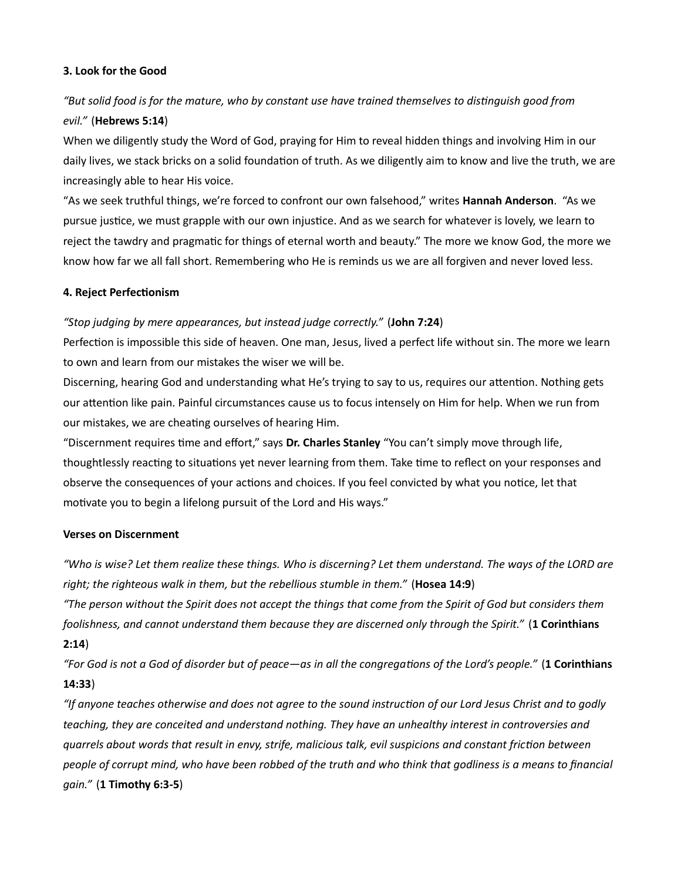## 3. Look for the Good

# "But solid food is for the mature, who by constant use have trained themselves to distinguish good from evil." (Hebrews 5:14)

When we diligently study the Word of God, praying for Him to reveal hidden things and involving Him in our daily lives, we stack bricks on a solid foundation of truth. As we diligently aim to know and live the truth, we are increasingly able to hear His voice.

"As we seek truthful things, we're forced to confront our own falsehood," writes Hannah Anderson. "As we pursue justice, we must grapple with our own injustice. And as we search for whatever is lovely, we learn to reject the tawdry and pragmatic for things of eternal worth and beauty." The more we know God, the more we know how far we all fall short. Remembering who He is reminds us we are all forgiven and never loved less.

## 4. Reject Perfectionism

## "Stop judging by mere appearances, but instead judge correctly." (John 7:24)

Perfection is impossible this side of heaven. One man, Jesus, lived a perfect life without sin. The more we learn to own and learn from our mistakes the wiser we will be.

Discerning, hearing God and understanding what He's trying to say to us, requires our attention. Nothing gets our attention like pain. Painful circumstances cause us to focus intensely on Him for help. When we run from our mistakes, we are cheating ourselves of hearing Him.

"Discernment requires time and effort," says Dr. Charles Stanley "You can't simply move through life, thoughtlessly reacting to situations yet never learning from them. Take time to reflect on your responses and observe the consequences of your actions and choices. If you feel convicted by what you notice, let that motivate you to begin a lifelong pursuit of the Lord and His ways."

#### Verses on Discernment

"Who is wise? Let them realize these things. Who is discerning? Let them understand. The ways of the LORD are right; the righteous walk in them, but the rebellious stumble in them." (Hosea 14:9)

"The person without the Spirit does not accept the things that come from the Spirit of God but considers them foolishness, and cannot understand them because they are discerned only through the Spirit." (1 Corinthians 2:14)

"For God is not a God of disorder but of peace—as in all the congregations of the Lord's people." (1 Corinthians 14:33)

"If anyone teaches otherwise and does not agree to the sound instruction of our Lord Jesus Christ and to godly teaching, they are conceited and understand nothing. They have an unhealthy interest in controversies and quarrels about words that result in envy, strife, malicious talk, evil suspicions and constant friction between people of corrupt mind, who have been robbed of the truth and who think that godliness is a means to financial gain." (1 Timothy 6:3-5)